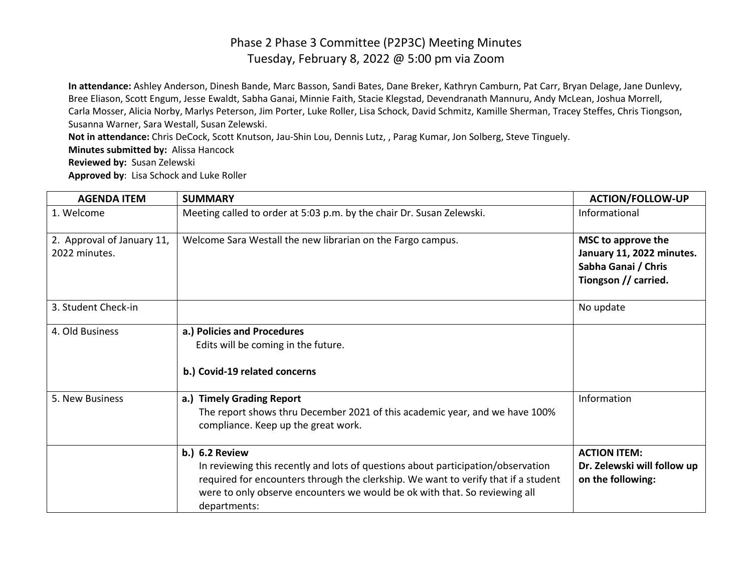## Phase 2 Phase 3 Committee (P2P3C) Meeting Minutes Tuesday, February 8, 2022 @ 5:00 pm via Zoom

**In attendance:** Ashley Anderson, Dinesh Bande, Marc Basson, Sandi Bates, Dane Breker, Kathryn Camburn, Pat Carr, Bryan Delage, Jane Dunlevy, Bree Eliason, Scott Engum, Jesse Ewaldt, Sabha Ganai, Minnie Faith, Stacie Klegstad, Devendranath Mannuru, Andy McLean, Joshua Morrell, Carla Mosser, Alicia Norby, Marlys Peterson, Jim Porter, Luke Roller, Lisa Schock, David Schmitz, Kamille Sherman, Tracey Steffes, Chris Tiongson, Susanna Warner, Sara Westall, Susan Zelewski.

**Not in attendance:** Chris DeCock, Scott Knutson, Jau-Shin Lou, Dennis Lutz, , Parag Kumar, Jon Solberg, Steve Tinguely.

**Minutes submitted by:** Alissa Hancock

**Reviewed by:** Susan Zelewski

**Approved by**: Lisa Schock and Luke Roller

| <b>AGENDA ITEM</b>                          | <b>SUMMARY</b>                                                                                                                                                                                                                                                                                | <b>ACTION/FOLLOW-UP</b>                                                                        |
|---------------------------------------------|-----------------------------------------------------------------------------------------------------------------------------------------------------------------------------------------------------------------------------------------------------------------------------------------------|------------------------------------------------------------------------------------------------|
| 1. Welcome                                  | Meeting called to order at 5:03 p.m. by the chair Dr. Susan Zelewski.                                                                                                                                                                                                                         | Informational                                                                                  |
| 2. Approval of January 11,<br>2022 minutes. | Welcome Sara Westall the new librarian on the Fargo campus.                                                                                                                                                                                                                                   | MSC to approve the<br>January 11, 2022 minutes.<br>Sabha Ganai / Chris<br>Tiongson // carried. |
| 3. Student Check-in                         |                                                                                                                                                                                                                                                                                               | No update                                                                                      |
| 4. Old Business                             | a.) Policies and Procedures<br>Edits will be coming in the future.<br>b.) Covid-19 related concerns                                                                                                                                                                                           |                                                                                                |
| 5. New Business                             | a.) Timely Grading Report<br>The report shows thru December 2021 of this academic year, and we have 100%<br>compliance. Keep up the great work.                                                                                                                                               | Information                                                                                    |
|                                             | <b>b.) 6.2 Review</b><br>In reviewing this recently and lots of questions about participation/observation<br>required for encounters through the clerkship. We want to verify that if a student<br>were to only observe encounters we would be ok with that. So reviewing all<br>departments: | <b>ACTION ITEM:</b><br>Dr. Zelewski will follow up<br>on the following:                        |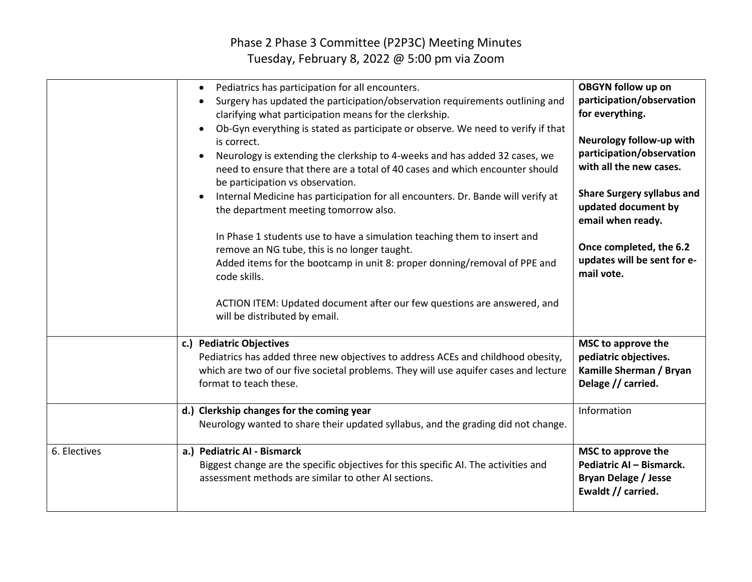## Phase 2 Phase 3 Committee (P2P3C) Meeting Minutes Tuesday, February 8, 2022 @ 5:00 pm via Zoom

|              | Pediatrics has participation for all encounters.<br>$\bullet$<br>Surgery has updated the participation/observation requirements outlining and<br>$\bullet$<br>clarifying what participation means for the clerkship.<br>Ob-Gyn everything is stated as participate or observe. We need to verify if that<br>is correct.<br>Neurology is extending the clerkship to 4-weeks and has added 32 cases, we<br>$\bullet$<br>need to ensure that there are a total of 40 cases and which encounter should<br>be participation vs observation.<br>Internal Medicine has participation for all encounters. Dr. Bande will verify at<br>$\bullet$<br>the department meeting tomorrow also.<br>In Phase 1 students use to have a simulation teaching them to insert and<br>remove an NG tube, this is no longer taught.<br>Added items for the bootcamp in unit 8: proper donning/removal of PPE and<br>code skills.<br>ACTION ITEM: Updated document after our few questions are answered, and | <b>OBGYN follow up on</b><br>participation/observation<br>for everything.<br>Neurology follow-up with<br>participation/observation<br>with all the new cases.<br><b>Share Surgery syllabus and</b><br>updated document by<br>email when ready.<br>Once completed, the 6.2<br>updates will be sent for e-<br>mail vote. |
|--------------|--------------------------------------------------------------------------------------------------------------------------------------------------------------------------------------------------------------------------------------------------------------------------------------------------------------------------------------------------------------------------------------------------------------------------------------------------------------------------------------------------------------------------------------------------------------------------------------------------------------------------------------------------------------------------------------------------------------------------------------------------------------------------------------------------------------------------------------------------------------------------------------------------------------------------------------------------------------------------------------|------------------------------------------------------------------------------------------------------------------------------------------------------------------------------------------------------------------------------------------------------------------------------------------------------------------------|
|              | will be distributed by email.<br>c.) Pediatric Objectives<br>Pediatrics has added three new objectives to address ACEs and childhood obesity,<br>which are two of our five societal problems. They will use aquifer cases and lecture<br>format to teach these.                                                                                                                                                                                                                                                                                                                                                                                                                                                                                                                                                                                                                                                                                                                      | MSC to approve the<br>pediatric objectives.<br>Kamille Sherman / Bryan<br>Delage // carried.                                                                                                                                                                                                                           |
|              | d.) Clerkship changes for the coming year<br>Neurology wanted to share their updated syllabus, and the grading did not change.                                                                                                                                                                                                                                                                                                                                                                                                                                                                                                                                                                                                                                                                                                                                                                                                                                                       | Information                                                                                                                                                                                                                                                                                                            |
| 6. Electives | a.) Pediatric AI - Bismarck<br>Biggest change are the specific objectives for this specific AI. The activities and<br>assessment methods are similar to other AI sections.                                                                                                                                                                                                                                                                                                                                                                                                                                                                                                                                                                                                                                                                                                                                                                                                           | MSC to approve the<br>Pediatric AI - Bismarck.<br><b>Bryan Delage / Jesse</b><br>Ewaldt // carried.                                                                                                                                                                                                                    |